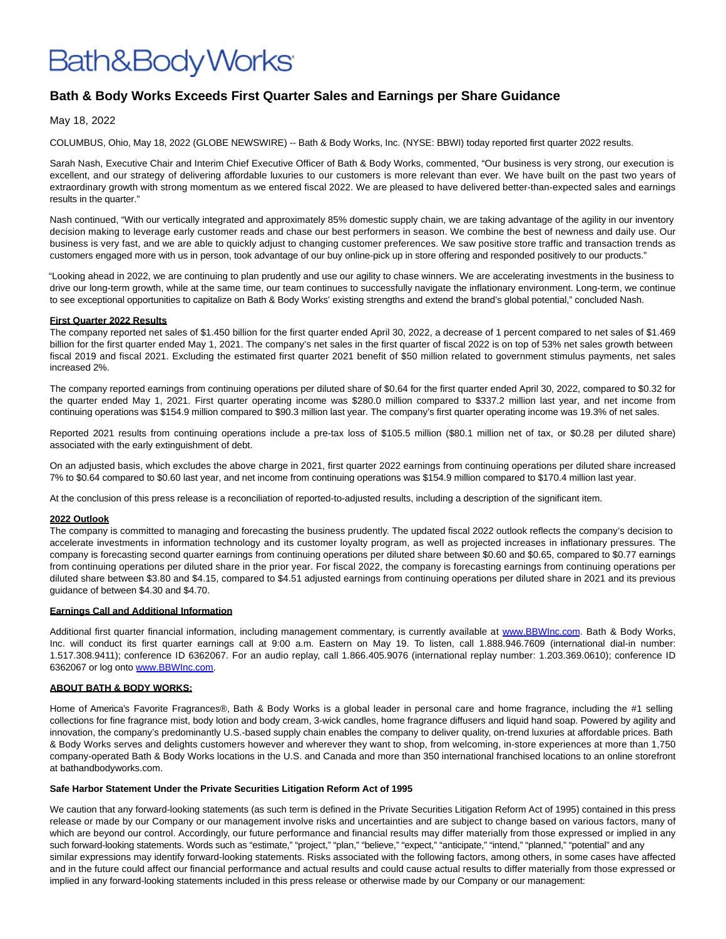# Bath&BodyWorks<sup>®</sup>

# **Bath & Body Works Exceeds First Quarter Sales and Earnings per Share Guidance**

#### May 18, 2022

COLUMBUS, Ohio, May 18, 2022 (GLOBE NEWSWIRE) -- Bath & Body Works, Inc. (NYSE: BBWI) today reported first quarter 2022 results.

Sarah Nash, Executive Chair and Interim Chief Executive Officer of Bath & Body Works, commented, "Our business is very strong, our execution is excellent, and our strategy of delivering affordable luxuries to our customers is more relevant than ever. We have built on the past two years of extraordinary growth with strong momentum as we entered fiscal 2022. We are pleased to have delivered better-than-expected sales and earnings results in the quarter."

Nash continued, "With our vertically integrated and approximately 85% domestic supply chain, we are taking advantage of the agility in our inventory decision making to leverage early customer reads and chase our best performers in season. We combine the best of newness and daily use. Our business is very fast, and we are able to quickly adjust to changing customer preferences. We saw positive store traffic and transaction trends as customers engaged more with us in person, took advantage of our buy online-pick up in store offering and responded positively to our products."

"Looking ahead in 2022, we are continuing to plan prudently and use our agility to chase winners. We are accelerating investments in the business to drive our long-term growth, while at the same time, our team continues to successfully navigate the inflationary environment. Long-term, we continue to see exceptional opportunities to capitalize on Bath & Body Works' existing strengths and extend the brand's global potential," concluded Nash.

#### **First Quarter 2022 Results**

The company reported net sales of \$1.450 billion for the first quarter ended April 30, 2022, a decrease of 1 percent compared to net sales of \$1.469 billion for the first quarter ended May 1, 2021. The company's net sales in the first quarter of fiscal 2022 is on top of 53% net sales growth between fiscal 2019 and fiscal 2021. Excluding the estimated first quarter 2021 benefit of \$50 million related to government stimulus payments, net sales increased 2%.

The company reported earnings from continuing operations per diluted share of \$0.64 for the first quarter ended April 30, 2022, compared to \$0.32 for the quarter ended May 1, 2021. First quarter operating income was \$280.0 million compared to \$337.2 million last year, and net income from continuing operations was \$154.9 million compared to \$90.3 million last year. The company's first quarter operating income was 19.3% of net sales.

Reported 2021 results from continuing operations include a pre-tax loss of \$105.5 million (\$80.1 million net of tax, or \$0.28 per diluted share) associated with the early extinguishment of debt.

On an adjusted basis, which excludes the above charge in 2021, first quarter 2022 earnings from continuing operations per diluted share increased 7% to \$0.64 compared to \$0.60 last year, and net income from continuing operations was \$154.9 million compared to \$170.4 million last year.

At the conclusion of this press release is a reconciliation of reported-to-adjusted results, including a description of the significant item.

#### **2022 Outlook**

The company is committed to managing and forecasting the business prudently. The updated fiscal 2022 outlook reflects the company's decision to accelerate investments in information technology and its customer loyalty program, as well as projected increases in inflationary pressures. The company is forecasting second quarter earnings from continuing operations per diluted share between \$0.60 and \$0.65, compared to \$0.77 earnings from continuing operations per diluted share in the prior year. For fiscal 2022, the company is forecasting earnings from continuing operations per diluted share between \$3.80 and \$4.15, compared to \$4.51 adjusted earnings from continuing operations per diluted share in 2021 and its previous guidance of between \$4.30 and \$4.70.

#### **Earnings Call and Additional Information**

Additional first quarter financial information, including management commentary, is currently available at [www.BBWInc.com.](https://www.globenewswire.com/Tracker?data=z4EbeFnkjOqTS1YSEqfq9WC8fYCS1uOQSp4EgoiU53SH3CLj7x6l3f9199FUjscR5XR4DpFhhX3kmcO1T7f-Qw==) Bath & Body Works, Inc. will conduct its first quarter earnings call at 9:00 a.m. Eastern on May 19. To listen, call 1.888.946.7609 (international dial-in number: 1.517.308.9411); conference ID 6362067. For an audio replay, call 1.866.405.9076 (international replay number: 1.203.369.0610); conference ID 6362067 or log onto [www.BBWInc.com.](https://www.globenewswire.com/Tracker?data=z4EbeFnkjOqTS1YSEqfq9a4hECguElW7iDiYlbag-9ih6Jzn3bAq7LwfU8tF8EJ-zlnd_IK4mla7nDjtiYS_wA==) 

#### **ABOUT BATH & BODY WORKS:**

Home of America's Favorite Fragrances®, Bath & Body Works is a global leader in personal care and home fragrance, including the #1 selling collections for fine fragrance mist, body lotion and body cream, 3-wick candles, home fragrance diffusers and liquid hand soap. Powered by agility and innovation, the company's predominantly U.S.-based supply chain enables the company to deliver quality, on-trend luxuries at affordable prices. Bath & Body Works serves and delights customers however and wherever they want to shop, from welcoming, in-store experiences at more than 1,750 company-operated Bath & Body Works locations in the U.S. and Canada and more than 350 international franchised locations to an online storefront at bathandbodyworks.com.

#### **Safe Harbor Statement Under the Private Securities Litigation Reform Act of 1995**

We caution that any forward-looking statements (as such term is defined in the Private Securities Litigation Reform Act of 1995) contained in this press release or made by our Company or our management involve risks and uncertainties and are subject to change based on various factors, many of which are beyond our control. Accordingly, our future performance and financial results may differ materially from those expressed or implied in any such forward-looking statements. Words such as "estimate," "project," "plan," "believe," "expect," "anticipate," "intend," "planned," "potential" and any similar expressions may identify forward-looking statements. Risks associated with the following factors, among others, in some cases have affected and in the future could affect our financial performance and actual results and could cause actual results to differ materially from those expressed or implied in any forward-looking statements included in this press release or otherwise made by our Company or our management: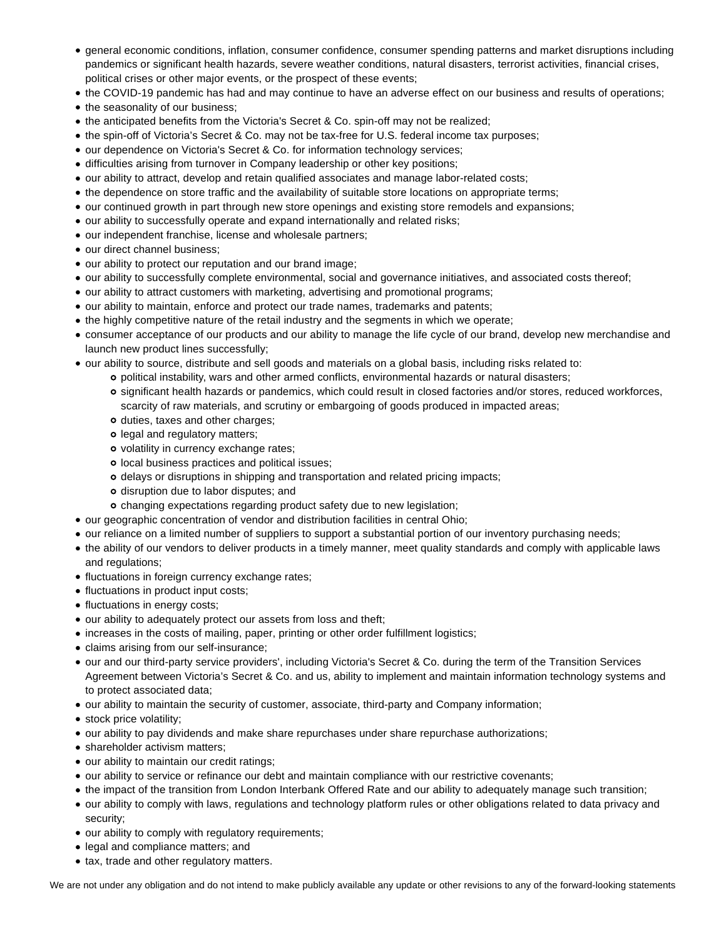- general economic conditions, inflation, consumer confidence, consumer spending patterns and market disruptions including pandemics or significant health hazards, severe weather conditions, natural disasters, terrorist activities, financial crises, political crises or other major events, or the prospect of these events;
- the COVID-19 pandemic has had and may continue to have an adverse effect on our business and results of operations;
- the seasonality of our business;
- the anticipated benefits from the Victoria's Secret & Co. spin-off may not be realized;
- the spin-off of Victoria's Secret & Co. may not be tax-free for U.S. federal income tax purposes;
- our dependence on Victoria's Secret & Co. for information technology services;
- difficulties arising from turnover in Company leadership or other key positions;
- our ability to attract, develop and retain qualified associates and manage labor-related costs;
- the dependence on store traffic and the availability of suitable store locations on appropriate terms;
- our continued growth in part through new store openings and existing store remodels and expansions;
- our ability to successfully operate and expand internationally and related risks;
- our independent franchise, license and wholesale partners;
- our direct channel business;
- our ability to protect our reputation and our brand image;
- our ability to successfully complete environmental, social and governance initiatives, and associated costs thereof;
- our ability to attract customers with marketing, advertising and promotional programs;
- our ability to maintain, enforce and protect our trade names, trademarks and patents;
- the highly competitive nature of the retail industry and the segments in which we operate;
- consumer acceptance of our products and our ability to manage the life cycle of our brand, develop new merchandise and launch new product lines successfully;
- our ability to source, distribute and sell goods and materials on a global basis, including risks related to:
	- political instability, wars and other armed conflicts, environmental hazards or natural disasters;
	- significant health hazards or pandemics, which could result in closed factories and/or stores, reduced workforces, scarcity of raw materials, and scrutiny or embargoing of goods produced in impacted areas;
	- o duties, taxes and other charges;
	- o legal and regulatory matters;
	- o volatility in currency exchange rates;
	- o local business practices and political issues;
	- delays or disruptions in shipping and transportation and related pricing impacts;
	- o disruption due to labor disputes; and
	- changing expectations regarding product safety due to new legislation;
- our geographic concentration of vendor and distribution facilities in central Ohio;
- our reliance on a limited number of suppliers to support a substantial portion of our inventory purchasing needs;
- the ability of our vendors to deliver products in a timely manner, meet quality standards and comply with applicable laws and regulations;
- fluctuations in foreign currency exchange rates;
- fluctuations in product input costs;
- fluctuations in energy costs;
- our ability to adequately protect our assets from loss and theft;
- increases in the costs of mailing, paper, printing or other order fulfillment logistics;
- claims arising from our self-insurance;
- our and our third-party service providers', including Victoria's Secret & Co. during the term of the Transition Services Agreement between Victoria's Secret & Co. and us, ability to implement and maintain information technology systems and to protect associated data;
- our ability to maintain the security of customer, associate, third-party and Company information;
- stock price volatility;
- our ability to pay dividends and make share repurchases under share repurchase authorizations;
- shareholder activism matters;
- our ability to maintain our credit ratings;
- our ability to service or refinance our debt and maintain compliance with our restrictive covenants;
- the impact of the transition from London Interbank Offered Rate and our ability to adequately manage such transition;
- our ability to comply with laws, regulations and technology platform rules or other obligations related to data privacy and security;
- our ability to comply with regulatory requirements;
- legal and compliance matters; and
- tax, trade and other regulatory matters.

We are not under any obligation and do not intend to make publicly available any update or other revisions to any of the forward-looking statements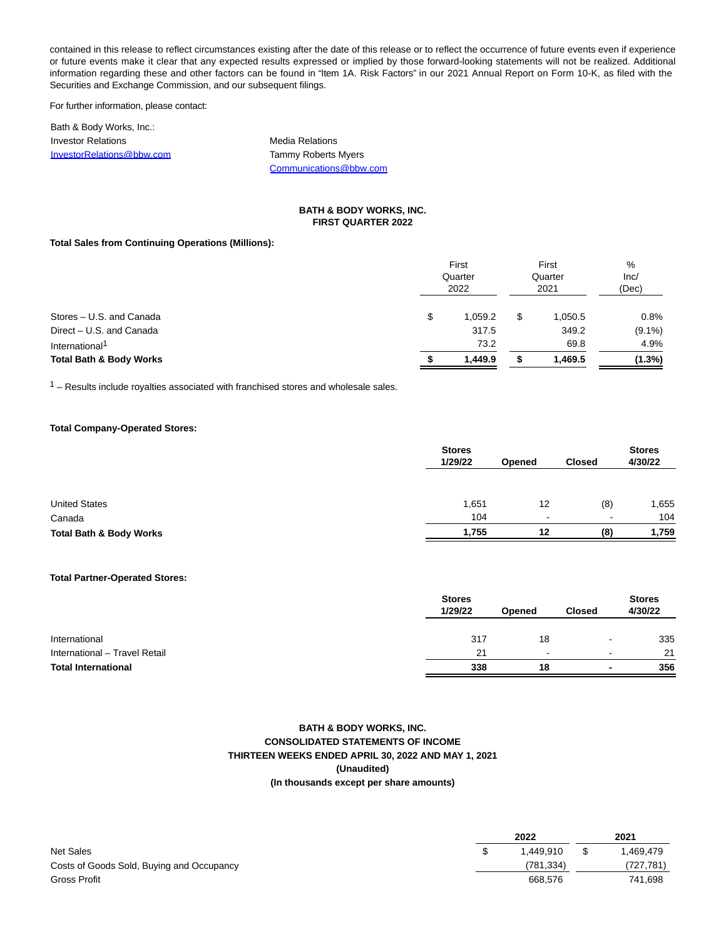contained in this release to reflect circumstances existing after the date of this release or to reflect the occurrence of future events even if experience or future events make it clear that any expected results expressed or implied by those forward-looking statements will not be realized. Additional information regarding these and other factors can be found in "Item 1A. Risk Factors" in our 2021 Annual Report on Form 10-K, as filed with the Securities and Exchange Commission, and our subsequent filings.

For further information, please contact:

Bath & Body Works, Inc.: Investor Relations **Media Relations** Media Relations [InvestorRelations@bbw.com](mailto:InvestorRelations@bbw.com) Tammy Roberts Myers

[Communications@bbw.com](mailto:Communications@bbw.com)

### **BATH & BODY WORKS, INC. FIRST QUARTER 2022**

# **Total Sales from Continuing Operations (Millions):**

|                                    | First<br>Quarter<br>2022 |  | First<br>Quarter<br>2021 | %<br>lnc/<br>(Dec) |  |
|------------------------------------|--------------------------|--|--------------------------|--------------------|--|
| Stores - U.S. and Canada           | \$<br>1.059.2            |  | 1,050.5                  | 0.8%               |  |
| Direct - U.S. and Canada           | 317.5                    |  | 349.2                    | $(9.1\%)$          |  |
| International <sup>1</sup>         | 73.2                     |  | 69.8                     | 4.9%               |  |
| <b>Total Bath &amp; Body Works</b> | 1,449.9                  |  | 1,469.5                  | $(1.3\%)$          |  |

 $1 -$  Results include royalties associated with franchised stores and wholesale sales.

## **Total Company-Operated Stores:**

|                                    | <b>Stores</b> |        |               |         |
|------------------------------------|---------------|--------|---------------|---------|
|                                    | 1/29/22       | Opened | <b>Closed</b> | 4/30/22 |
|                                    |               |        |               |         |
| <b>United States</b>               | 1,651         | 12     | (8)           | .655    |
| Canada                             | 104           | $\sim$ | $\sim$        | 104     |
| <b>Total Bath &amp; Body Works</b> | 1,755         | 12     | (8)           | 1,759   |

#### **Total Partner-Operated Stores:**

|                               | <b>Stores</b>            |    | <b>Stores</b>            |         |  |
|-------------------------------|--------------------------|----|--------------------------|---------|--|
|                               | 1/29/22<br><b>Opened</b> |    | <b>Closed</b>            | 4/30/22 |  |
| International                 | 317                      | 18 | $\overline{\phantom{a}}$ | 335     |  |
| International - Travel Retail | 21                       |    | $\overline{\phantom{0}}$ | 21      |  |
| <b>Total International</b>    | 338                      | 18 | $\overline{\phantom{0}}$ | 356     |  |

# **BATH & BODY WORKS, INC. CONSOLIDATED STATEMENTS OF INCOME THIRTEEN WEEKS ENDED APRIL 30, 2022 AND MAY 1, 2021 (Unaudited) (In thousands except per share amounts)**

|                                           | 2022 |           | 2021 |           |
|-------------------------------------------|------|-----------|------|-----------|
| Net Sales                                 |      | 1.449.910 |      | l.469.479 |
| Costs of Goods Sold, Buying and Occupancy |      | (781.334) |      | (727.781) |
| Gross Profit                              |      | 668.576   |      | 741.698   |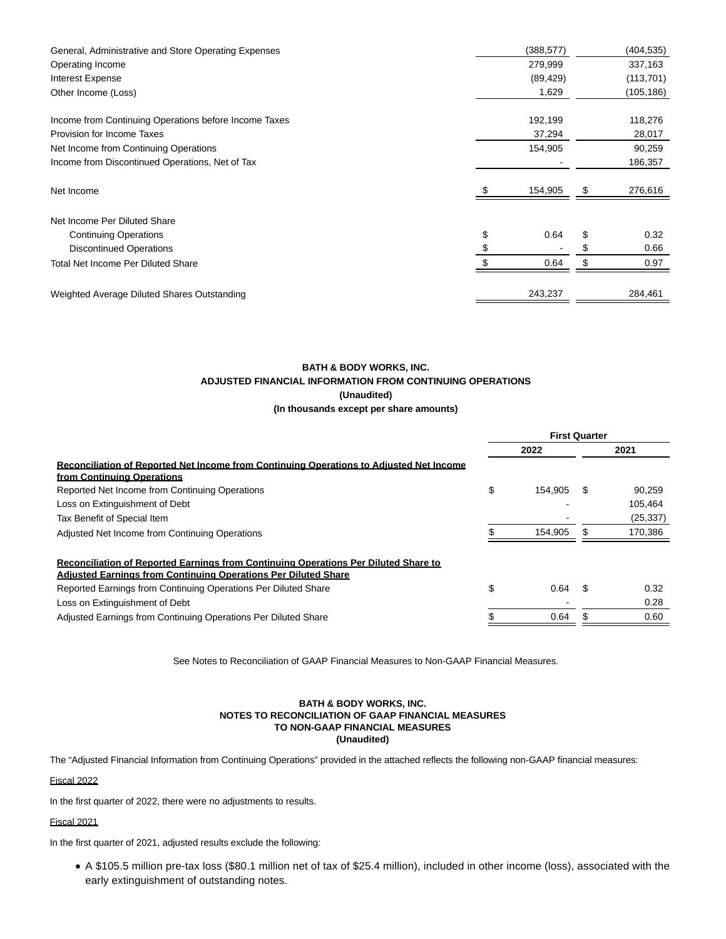| General, Administrative and Store Operating Expenses  | (388, 577) |           |    | (404, 535) |
|-------------------------------------------------------|------------|-----------|----|------------|
| Operating Income                                      |            | 279,999   |    | 337,163    |
| Interest Expense                                      |            | (89, 429) |    | (113, 701) |
| Other Income (Loss)                                   |            | 1,629     |    | (105, 186) |
| Income from Continuing Operations before Income Taxes |            | 192,199   |    | 118,276    |
| Provision for Income Taxes                            | 37,294     |           |    | 28,017     |
| Net Income from Continuing Operations                 | 154,905    |           |    | 90,259     |
| Income from Discontinued Operations, Net of Tax       |            |           |    | 186,357    |
| Net Income                                            |            | 154,905   |    | 276,616    |
| Net Income Per Diluted Share                          |            |           |    |            |
| <b>Continuing Operations</b>                          | \$         | 0.64      | \$ | 0.32       |
| <b>Discontinued Operations</b>                        | \$         |           |    | 0.66       |
| <b>Total Net Income Per Diluted Share</b>             |            | 0.64      | \$ | 0.97       |
| Weighted Average Diluted Shares Outstanding           |            | 243,237   |    | 284,461    |

# **BATH & BODY WORKS, INC. ADJUSTED FINANCIAL INFORMATION FROM CONTINUING OPERATIONS (Unaudited) (In thousands except per share amounts)**

|                                                                                         | <b>First Quarter</b> |         |      |           |
|-----------------------------------------------------------------------------------------|----------------------|---------|------|-----------|
|                                                                                         | 2022                 |         | 2021 |           |
| Reconciliation of Reported Net Income from Continuing Operations to Adjusted Net Income |                      |         |      |           |
| from Continuing Operations                                                              |                      |         |      |           |
| Reported Net Income from Continuing Operations                                          | \$                   | 154.905 | \$.  | 90.259    |
| Loss on Extinguishment of Debt                                                          |                      |         |      | 105.464   |
| Tax Benefit of Special Item                                                             |                      |         |      | (25, 337) |
| Adjusted Net Income from Continuing Operations                                          |                      | 154.905 |      | 170,386   |
| Reconciliation of Reported Earnings from Continuing Operations Per Diluted Share to     |                      |         |      |           |
| <b>Adjusted Earnings from Continuing Operations Per Diluted Share</b>                   |                      |         |      |           |
| Reported Earnings from Continuing Operations Per Diluted Share                          | \$                   | 0.64    | \$.  | 0.32      |
| Loss on Extinguishment of Debt                                                          |                      |         |      | 0.28      |
| Adjusted Earnings from Continuing Operations Per Diluted Share                          |                      | 0.64    |      | 0.60      |

See Notes to Reconciliation of GAAP Financial Measures to Non-GAAP Financial Measures.

### **BATH & BODY WORKS, INC. NOTES TO RECONCILIATION OF GAAP FINANCIAL MEASURES TO NON-GAAP FINANCIAL MEASURES (Unaudited)**

The "Adjusted Financial Information from Continuing Operations" provided in the attached reflects the following non-GAAP financial measures:

Fiscal 2022

In the first quarter of 2022, there were no adjustments to results.

#### Fiscal 2021

In the first quarter of 2021, adjusted results exclude the following:

A \$105.5 million pre-tax loss (\$80.1 million net of tax of \$25.4 million), included in other income (loss), associated with the early extinguishment of outstanding notes.